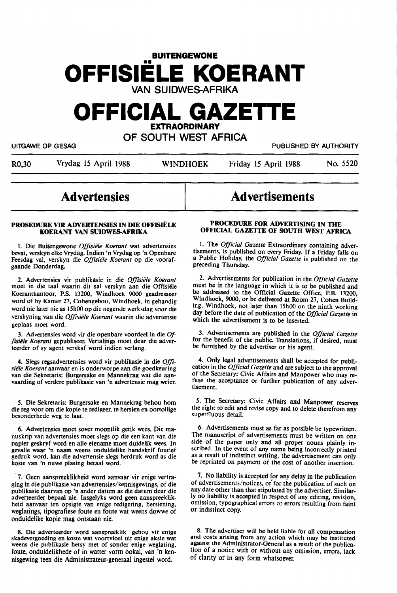# **BUITENGEWONE OFFISIELE KOERANT**  VAN SUIDWES-AFRIKA

## **OFFICIAL GAZETTE EXTRAORDINARY**

OF SOUTH WEST AFRICA

R0,30 Vrydag 15 April 1988 WINDHOEK Friday 15 April 1988 No. 5520

UITGAWE OP GESAG PUBLISHED BY AUTHORITY

**Advertisements** 

# **Advertensies**

#### **PROSEDURE VIR ADVERTENSIES IN DIE OFFISIËLE KOERANT VAN SUIDWES-AFRIKA**

1. Die Buitengewone *Offisiële Koerant* wat advertensies bevat, verskyn elke Vrydag. lndien 'n Vrydag op 'n Openbare Feesdag val, verskyn die *Off'isiele Koerant* op die vooraf**gaande** Donderdag.

2. Advertensies vir publikasie in die Offisiële Koerant moet in die taal waarin dit sal verskyn aan die Offisiele Koerantkantoor, P.S. 13200, Windhoek 9000 geadresseer word of by Kamer 27, Cohengebou, Windhoek, in gehandig word nie later nie as 15h00 op die negende werksdag voor die verskyning van die *Offisiele Koerant* waarin die advertensie geplaas moet word.

3. Advertensies word vir die openbare voordeel in die. *Of*fisiële Koerant gepubliseer. Vertalings moet deur die adverteerder of sy agent verskaf word indien verlang.

4. Slegs regsadvertensies word vir publikasie in die *Offisiele Koerant* aanvaar en is onderworpe aan die goedkeuring van die Sekretaris: Burgersake en Mannekrag wat die aanvaarding of verdere publikasie van 'n advertensie mag weier.

*S.* Die Sekretaris: Burgersake en Mannekrag behou horn die reg voor om die kopie te redigeer, te hersien en oortollige besonderhede weg te laat.

6. Advertensies moet sover moontlik getik wees. Die manuskrip van advertensies moet slegs op die een kant van die papier geskryf word en alle eiename moet duidelik wees. In gevalle waar 'n naam weens onduidelike handskrif foutief gedruk word, kan die advertensie slegs herdruk word as die koste van 'n nuwe plasing betaal word.

7. Geen aanspreeklikheid word aanvaar vir enige vertraging in die publikasie van advertensies/kennisgewings, of die publikasie daarvan op 'n ander datum as die datum deur die adverteerder bepaal nie. Insgelyks word geen aanspreeklikheid aanvaar ten opsigte van enige redigering, hersiening, weglatings, tipografiese foute en foute wat weens dowwe of onduidelike kopie mag ontstaan nie.

8. Die adverteerder word aanspreeklik gehou vir enige skadevergoeding en koste wat voortvloei uit enige aksie wat weens die publikasie hetsy met of sonder enige weglating, foute, onduidelikhede of in watter vorm ookal, van 'n kennisgewing teen die Administrateur-generaal ingestel word.

#### **PROCEDURE FOR ADVERTISING** IN THE OFFICIAL GAZETTE OF SOUTH WEST AFRICA

1. The *Official Gazette* Extraordinary containing advertisements, is published on every Friday. If a Friday falls on a Public Holiday, the *Official Gazette* is published on the preceding Thursday.

2. Advertisements for publication in the *Official Gazette*  must be in the language in which it is to be published and be addressed to the Official Gazette Office, P.B. 13200, Windhoek, 9000, or be delivered at Room 27, Cohen Build: ing, Windhoek, not later than 15h00 on the ninth working day before the date of publication of the *Official Gazette* in which the advertisement is to be inserted.

3. Advertisements are published in the *Official Gazette*  for the benefit of the public. Translations, if desired, must be furnished by the advertiser or his agent.

4. Only legal advertisements shall be accepted for publication in the *Official Gazette* and are subject to the approval of the Secretary: Civic Affairs and Manpower who may refuse the acceptance or further publication of any advertisement.

5. The Secretary: Civic Affairs and Manpower reserves the right to edit and revise copy and to delete therefrom any superfluous detail.

6. Advertisements must as far as possible be typewritten. The manuscript of advertisements must be written on one side of the paper only and all proper nouns plainly in-<br>scribed. In the event of any name being incorrectly printed as a result of indistinct writing, the advertisement can only be reprinted on payment of the cost of another insertion.

7. No liability is accepted for any delay in the publication of advertisements/notices, *oi* for the publication of such on any date other than that stipulated by the advertiser. Similarly no liability is accepted in respect of any editing, revision, omission, typographical errors or errors resulting from faint or indistinct copy.

8. The advertiser will be held liable for all compensation and costs arising from any action which may be instituted against the Administrator-General as a result of the publication of a notice with or without any omission, errors, lack of clarity or in any form whatsoever.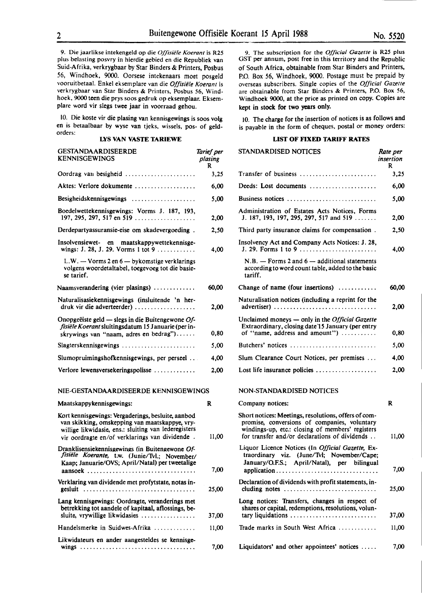9. Die jaarlikse intekengeld op die *Offisiele Koerant* is R25 plus belasting posvry in hierdie gebied en die Republiek van Suid-Afrika, verkrygbaar by Star Binders & Printers, Posbus *56,* Windhoek, 9000. Oorsese intekenaars moet posgeld vooruitbetaal. Enkel eksemplare van die *Offisiële Koerant* is verkrygbaar van Star Binders & Printers, Posbus 56, Windhoek, 9000 teen die prys soos gedruk op eksemplaar. Eksemplare word vir slegs twee jaar in voorraad gehou.

IO. Die koste vir die plasing van kennisgewings is soos volg en is betaalbaar by wyse van tjeks, wissels, pos- of geldorders:

#### **LYS VAN VASTE TARIEWE**

| <b>GESTANDAARDISEERDE</b><br><b>KENNISGEWINGS</b>                                                                                                                                                              | Tarief per<br>plasing<br>R |
|----------------------------------------------------------------------------------------------------------------------------------------------------------------------------------------------------------------|----------------------------|
| Oordrag van besigheid                                                                                                                                                                                          | 3,25                       |
| Aktes: Verlore dokumente                                                                                                                                                                                       | 6,00                       |
| Besigheidskennisgewings                                                                                                                                                                                        | 5,00                       |
| Boedelwettekennisgewings: Vorms J. 187, 193,<br>197, 295, 297, 517 en 519                                                                                                                                      | 2,00                       |
| Derdepartyassuransie-eise om skadevergoeding.                                                                                                                                                                  | 2.50                       |
| Insolvensiewet- en maatskappywettekennisge-<br>wings: J. 28, J. 29. Vorms 1 tot 9                                                                                                                              | 4.00                       |
| L.W. - Vorms 2 en 6 - bykomstige verklarings<br>volgens woordetaltabel, toegevoeg tot die basie-<br>se tarief.                                                                                                 |                            |
| Naamsverandering (vier plasings) $\ldots$                                                                                                                                                                      | 60,00                      |
| Naturalisasiekennisgewings (insluitende 'n her-<br>druk vir die adverteerder)                                                                                                                                  | 2.00                       |
| Onopgeëiste geld — slegs in die Buitengewone Of-<br>fisiële Koerant sluitingsdatum 15 Januarie (per in-<br>skrywings van "naam, adres en bedrag")                                                              | 0,80                       |
| Slagterskennisgewings                                                                                                                                                                                          | 5,00                       |
| Slumopruimingshofkennisgewings, per perseel                                                                                                                                                                    | 4,00                       |
| Verlore lewensversekeringspolisse                                                                                                                                                                              | 2,00                       |
| NIE-GESTANDAARDISEERDE KENNISGEWINGS                                                                                                                                                                           |                            |
| Maatskappykennisgewings:                                                                                                                                                                                       | R                          |
| Kort kennisgewings: Vergaderings, besluite, aanbod<br>van skikking, omskepping van maatskappye, vry-<br>willige likwidasie, ens.: sluiting van lederegisters<br>vir oordragte en/of verklarings van dividende. | 11,00                      |
| Dranklisensiekennisgewings (in Buitengewone Of-<br>fisiële Koerante, t.w. (Junie/Tvl.; November/<br>Kaap; Januarie/OVS; April/Natal) per tweetalige<br>aansoek                                                 | 7,00                       |
| Verklaring van dividende met profytstate, notas in-<br>gesluit                                                                                                                                                 | 25,00                      |
| Lang kennisgewings: Oordragte, veranderings met<br>betrekking tot aandele of kapitaal, aflossings, be-<br>sluite, vrywillige likwidasies                                                                       | 37,00                      |
| Handelsmerke in Suidwes-Afrika                                                                                                                                                                                 | 11.00                      |
| Likwidateurs en ander aangesteldes se kennisge-                                                                                                                                                                |                            |
|                                                                                                                                                                                                                | 7,00                       |

9. The subscription for the *Official Gazette* is R25 plus OST per annum, post free in this territory and the Republic of South Africa, obtainable from Star Binders and Printers, P.O. Box 56, Windhoek, 9000. Postage must be prepaid by overseas subscribers. Single copies of the *Official Gazette* are obtainable from Star Binders & Printers, **P.O.** Box 56, Windhoek 9000, at the price as printed on copy. Copies are kept in stock for two years only.

10. The charge for the insertion of notices is as follows and is payable in the form of cheques, postal or money orders:

### **LIST OF FIXED TARIFF RATES**

| ' per<br>ing | STANDARDISED NOTICES                                                                                                                                                                                      | Rate per<br>insertion<br>R |
|--------------|-----------------------------------------------------------------------------------------------------------------------------------------------------------------------------------------------------------|----------------------------|
| 3,25         | Transfer of business                                                                                                                                                                                      | 3,25                       |
| 6,00         | Deeds: Lost documents                                                                                                                                                                                     | 6,00                       |
| 5,00         | Business notices                                                                                                                                                                                          | 5,00                       |
| 2,00         | Administration of Estates Acts Notices, Forms<br>J. 187, 193, 197, 295, 297, 517 and 519                                                                                                                  | 2,00                       |
| 2.50         | Third party insurance claims for compensation.                                                                                                                                                            | 2,50                       |
| 4,00         | Insolvency Act and Company Acts Notices: J. 28,                                                                                                                                                           | 4,00                       |
|              | $N.B.$ - Forms 2 and 6 - additional statements<br>according to word count table, added to the basic<br>tariff.                                                                                            |                            |
| 0.00         | Change of name (four insertions)                                                                                                                                                                          | 60,00                      |
| 2,00         | Naturalisation notices (including a reprint for the<br>advertiser)                                                                                                                                        | 2,00                       |
| 0,80         | Unclaimed moneys - only in the Official Gazette<br>Extraordinary, closing date 15 January (per entry<br>of "name, address and amount")                                                                    | 0,80                       |
| 5,00         | Butchers' notices                                                                                                                                                                                         | 5,00                       |
| 4,00         | Slum Clearance Court Notices, per premises                                                                                                                                                                | 4,00                       |
| 2,00         | Lost life insurance policies $\dots \dots \dots \dots \dots$                                                                                                                                              | 2,00                       |
|              | NON-STANDARDISED NOTICES                                                                                                                                                                                  |                            |
|              | Company notices:                                                                                                                                                                                          | R                          |
| 1,00         | Short notices: Meetings, resolutions, offers of com-<br>promise, conversions of companies, voluntary<br>windings-up, etc.: closing of members' registers<br>for transfer and/or declarations of dividends | 11,00                      |
| 7,00         | Liquor Licence Notices (In Official Gazette, Ex-<br>traordinary viz. (June/Tvl; November/Cape;<br>January/O.F.S.; April/Natal), per bilingual<br>application                                              | 7,00                       |
| 5,00         | Declaration of dividends with profit statements, in-<br>cluding notes $\dots\dots\dots\dots\dots\dots\dots\dots\dots\dots\dots$                                                                           | 25,00                      |
|              | Long notices: Transfers, changes in respect of<br>shares or capital, redemptions, resolutions, volun-                                                                                                     |                            |
| 7,00         | tary liquidations                                                                                                                                                                                         | 37,00                      |
| 1,00         | Trade marks in South West Africa                                                                                                                                                                          | 11,00                      |
| 7,00         | Liquidators' and other appointees' notices                                                                                                                                                                | 7,00                       |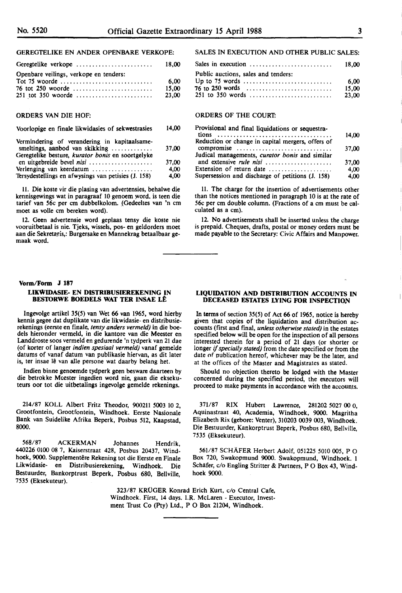#### GEREGTELIKE EN ANDER OPENBARE VERKOPE:

| Geregtelike verkope                    | 18.00 |
|----------------------------------------|-------|
| Openbare veilings, verkope en tenders: |       |
|                                        | 6.00  |
|                                        | 15.00 |
|                                        | 23,00 |

#### ORDERS VAN DIE HOF:

#### Voorlopige en finale likwidasies of sekwestrasies 14,00

| Vermindering of verandering in kapitaalsame-<br>smeltings, aanbod van skikking | 37,00 |
|--------------------------------------------------------------------------------|-------|
| Geregtelike besture, kurator bonis en soortgelyke                              |       |
| en uitgebreide bevel nisi                                                      | 37.00 |
| Verlenging van keerdatum                                                       | 4.00  |
| Tersydestellings en afwysings van petisies (J. 158)                            | 4,00  |

11. Die koste vir die plasing van advertensies, behalwe die kennisgewings wat in paragraaf 10 genoem word. is teen die tarief van 56c per cm dubbelkolom. (Gedeeltes van 'n cm moet as voile cm bereken word).

12. Geen advertensie word geplaas tensy die koste nie vooruitbetaal is nie. Tjeks, wissels, pos- en geldorders moet aan die Sekretaris,: Burgersake en Mannekrag betaalbaar gemaak word.

#### **Vorm/Form J 187**

#### **LIKWIDASIE- EN DISTRIBUSIEREKENING IN BESTORWE BOEDELS WAT TER INSAE LE**

lngevolge artikel 35(5) van Wet 66 van 1965, word hierby kennis **gegee** dat duplikate van die likwidasie- en distribusierekenings (eerste en finale, *tensy anders vermeld)* in die boedels hieronder vermeld, in die kantore van die Meester en Landdroste soos vermeld en gedurende 'n tydperk van 21 dae (of korter of !anger *indien spesiaal vermeld)* vanaf gemelde datums of vanaf datum van publikasie hiervan, as dit later is, ter insae lê van alle persone wat daarby belang het.

Indien binne genoemde tydperk geen besware daarteen by die betrokke Mcester ingedien word nie, gaan die eksekuteurs oor tot die uitbetalings ingevolge gemelde rekenings.

214/87 KOLL Albert Fritz Theodor, 900211 5003 10 2, Grootfontein, Grootfontein, Windhoek. Eerste Nasionale Bank **van** Suidelike Afrika Beperk, Posbus 512, Kaapstad, **8000.** 

568/87 ACKERMAN Johannes Hendrik, 440226 0100 08 7, Kaiserstraat 428, Posbus 20437, Windhoek, 9000. Supplementêre Rekening tot die Eerste en Finale Likwidasie- en Distribusierekening, Windhoek. Die Bestuurder, Bankorptrust Beperk, Posbus 680, Bellville, 7535 (Eksekuteur).

#### SALES IN EXECUTION AND OTHER PUBLIC SALES:

| Sales in execution $\ldots \ldots \ldots \ldots \ldots \ldots \ldots \ldots$ 18,00 |       |
|------------------------------------------------------------------------------------|-------|
| Public auctions, sales and tenders:                                                |       |
|                                                                                    | 6.00  |
|                                                                                    | 15.00 |
|                                                                                    | 23.00 |

#### **ORDERS** OF THE COURT:

| Provisional and final liquidations or sequestra-  |       |
|---------------------------------------------------|-------|
|                                                   | 14,00 |
| Reduction or change in capital mergers, offers of |       |
| compromise                                        | 37,00 |
| Judical managements, curator bonis and similar    |       |
| and extensive rule nisi                           | 37,00 |
| Extension of return date                          | 4,00  |
| Supersession and discharge of petitions (J. 158)  | 4,00  |

11. The charge for the insertion of advertisements other than the notices mentioned in paragraph 10 is at the rate of 56c per cm double column. (Fractions of a cm must be calculated as a cm).

12. No advertisements shall be inserted unless the charge is prepaid. Cheques, drafts, postal or money orders must be made payable to the Secretary: Civic Affairs and Manpower.

#### **LIQUIDATION AND DISTRIBUTION ACCOUNTS IN DECEASED ESTATES LYING FOR INSPECTION**

In terms of section 35(5) of Act 66 of 1965, notice is hereby given that copies of the liquidation and distribution accounts (first and final, *unless otherwise stated)* in the estates specified below **will** be open for the inspection of all persons longer if specially stated) from the date specified or from the date of publication hereof, whichever may be the later, and at the offices of the Master and Magistrates as stated.

Should no objection thereto be lodged with the Master concerned during the specified period, the executors will proceed to make payments in accordance with the accounts.

371/87 RIX Hubert Lawrence, 281202 5027 00 O, Aquinastraat 40, Academia, Windhoek, 9000. Magritha Elizabeth Rix (gebore: Venter), 310203 0039 003, Windhoek. Die Bestuurder, Kankorptrust Beperk, Posbus 680, Bellville, 7535 (Eksekuteur).

561/87 SCHÄFER Herbert Adolf, 051225 5010 005, P O Box 720, Swakopmund 9000. Swakopmund, Windhoek. I Schafer, c/o Engling Stritter & Partners, P O Box 43, Windhoek 9000.

323/87 KRÜGER Konrad Erich Kurt, c/o Central Cafe, Windhoek. First, 14 days. l.R. McLaren - Executor, Investment Trust Co (Pty) Ltd., P O Box 21204, Windhoek.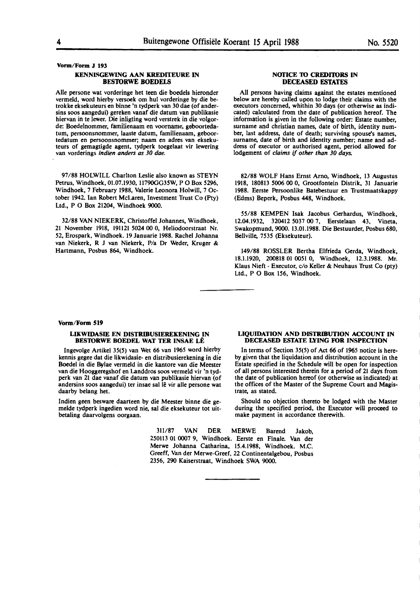Vorm/Form J 193

#### KENNISGEWING AAN KREDITEURE IN **BESTORWE BOEDELS**

Alle persone wat vorderinge bet teen die boedels hieronder vermeld, word hierby versoek om hul vorderinge by die betrokke eksekuteurs en binne 'n tydperk van 30 dae (of andersins soos aangedui) gereken vanaf die datum van publikasie hiervan in te lewer. Die inligting word verstrek in die volgorde: Boedelnommer, familienaam en voorname, geboortedatum, persoonsnommer, laaste datum, familienaam, geboortedatum en persoonsnommer; naam en adres van eksekuteurs of gemagtigde agent, tydperk toegelaat vir lewering van vorderings *lndien anders as 30 dae.* 

97/88 HOLWILL Charlton Leslie also known as STEYN Petrus, Windhoek, 01.07.1930, 11790GG35W, PO Box 5296, Windhoek, 7 February 1988, Valerie Leonora Holwill, 7 October 1942. Ian Robert McLaren, Investment Trust Co (Pty) Ltd., P O Box 21204, Windhoek 9000.

32/88 VAN NIEKERK, Christoffel Johannes, Windhoek, 21 November 1918, 191121 5024 00 0, Heliodoorstraat Nr. 52, Erospark, Windhoek. 19 Januarie 1988. Rachel Johanna van **Niekerk, R** J van **Niekerk, P/a** Dr **Weder, Kruger** & Hartmann, Posbus 864, Windhoek.

#### **NOflCE 10 CREDI10RS IN DECEASED FSTATFS**

All persons having claims against the estates mentioned below are hereby called upon to lodge their claims with the executors concerned, whithin 30 days (or otherwise as indicated) calculated from the date of publication hereof. The information is given in the following order: Estate number, surname and christian names, date of birth, identity number, last address, date of death; surviving spouse's names, surname, date of birth and identity number; name and address of executor or authorised agent, period allowed for lodgement of *claims* if *other than 30 days.* 

82/88 WOLF Hans Ernst Arno, Windhoek, 13 Augustus 1918, 180813 5006 00 0, Grootfontein Distrik, 31 Januarie 1988. Eerste Persoonlike Batebestuur en Trustmaatskappy (Edms) Beperk, Posbus 448, Windhoek.

55/88 KEMPEN Isak Jacobus Gerhardus, Windhoek, 12.04.1932, 320412 5037 00 7, Eerstelaan 43, Vineta, Swakopmund, 9000. 13.01.1988. Die Bestuurder, Posbus 680, Bellville, 7535 (Eksekuteur).

149/88 ROSSLER Bertha Elfrieda Gerda, Windhoek, 18.1.1920, 200818 01 0051 0, Windhoek, 12.3.1988. Mr. Klaus Nieft - Executor, c/o Keller & Neuhaus Trust Co (pty) Ltd., P O Box 156, Windhoek.

#### Vorm/Form 519

#### **LIKWIDASIE** EN DISTRIBUSIEREKENING IN **BESTORWE BOEDEL WAT TER INSAE LÊ**

lngevolge Artikel 35(5) van Wet 66 van 1965 word hierbr kennis gegee dat die likwidasie- en distribusierekening in die Boedel in die Bylae vermeld in die kantore van die Meester van die Hooggeregshof en Landdros soos vermeld vir 'n tydperk van 21 dae vanaf die datum van publikasie hiervan (of andersins soos aangedui) ter insae sal lê vir alle persone wat daarby belang het.

lndien **geen besware daarteen** by **die Meester** binne **die ge**melde tydperk ingedien word nie, sal die eksekuteur tot uitbetaling daarvolgens oorgaan.

#### **LIQUIDATION AND DISTRIBUTION ACCOUNT IN DECEASED ESTATE LYING FOR INSPECTION**

In terms of Section 35(5) of Act 66 of 1965 notice is hereby given that the liquidation and distribution account in the Estate specified in the Schedule will be open for inspection of all persons interested therein for a period of 21 days from the date of publication hereof (or otherwise as indicated) at the offices of the Master of the Supreme Court and Magistrate, as stated.

Should no objection thereto be lodged with the Master during the specified period, the Executor will proceed to **make** payment in accordance therewith.

311/87 VAN DER MERWE Barend Jakob, 250113 01 0007 9, Windhoek. Eerste en Finale. Van der Merwe Johanna Catharina, 15.4.1988, Windhoek. M.C. Greeff, Van der Merwe-Greef, 22 Continentalgebou, Posbus 2356, 290 Kaiserstraat, Windhoek SWA 9000.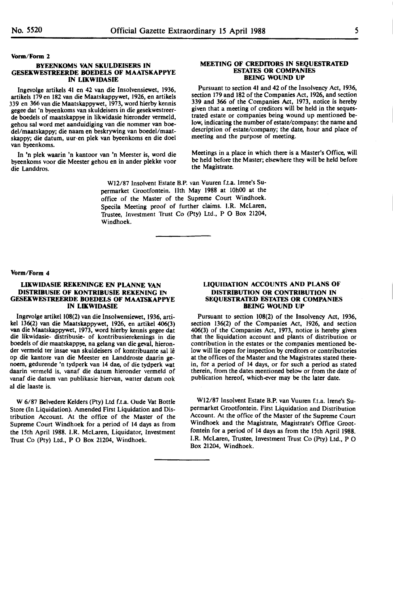#### **Vonn/Form** 2

#### **BYEENKOMS VAN SKULDEISERS IN GESEKWESTREERDE BOEDELS OF MAATSKAPPYE IN LIKWIDASIE**

lngevolge artikels 41 en 42 van die lnsolvensiewet, 1936, artikels 179 en 182 van die Maatskappywet, 1926, en artikels 339 en 366 van die Maatskappywet, 1973, word hierby kennis gegee dat 'n byeenkoms van skuldeisers in die gesekwestreerde boedels of maatskappye in likwidasie hieronder vermeld, gehou sal word met aanduidiging van die nommer van boedel/maatskappy; die naam en beskrywing van boedel/maatskappy; die datum, uur en plek van byeenkoms en die doe! van byeenkoms.

In 'n plek waarin 'n kantoor van 'n Meester is, word die byeenkoms voor die Meester gehou en in ander plekke voor die Landdros.

> Wl2/87 Insolvent Estate B.P. van Vuuren f.t.a. Irene's Supermarket Grootfontein. 11th May 1988 at 10h00 at the office of the Master of the Supreme Court Windhoek. Specila Meeting proof of further claims. LR. McLaren, Trustee, Investment Trust Co (Pty) Ltd., P O Box 21204, Windhoek.

the Magistrate.

#### **Vorm/Form 4**

#### **LIKWIDASIE REKENINGE EN PLANNE VAN DISTRIBUSIE OF KONTRIBUSIE REKENING IN GESEKWESTREERDE BOEDELS OF MAATSKAPPYE IN LIKWIDASIE**

lngevolge artikel 108(2) van die lnsolwensiewet, 1936, artivan die Maatskappywet, 1973, word hierby kennis gegee dat die likwidasie- distribusie- of kontribusierekenings in die boedels of die maatskappye, na gelang van die geval, hieronder vermeld ter insae van skuldeisers of kontribuante sal lê op die kantore van die Meester en Landdroste daarin genoem, gedurende 'n tydperk van 14 dae, of die tydperk wat daarin vermeld is, vanaf die datum hieronder vermeld of vanaf die datum van publikasie hiervan, watter datum ook al die laaste is.

W 6/87 Belvedere Kelders (Pty) Ltd f.t.a. Oude Vat Bottle Store (In Liquidation). Amended First Liquidation and Distribution Account. At the office of the Master of the Supreme Court Windhoek for a period of 14 days as from the 15th April 1988. I.R. McLaren, Liquidator, Investment Trust Co (Pty) Ltd., **P** O Box 21204, Windhoek.

#### **LIQUIDATION ACCOUNTS AND PLANS OF DISTRIBUTION OR CONTRIBUTION IN SEQUESTRATED ESTATES OR COMPANIES BEING WOUND UP**

**MEETING OF CREDITORS IN SEQUESTRATED ESTATES OR COMPANIES BEING WOUND UP**  Pursuant to section 41 and 42 of the Insolvency Act, 1936, section 179 and 182 of the Companies Act, 1926, and section 339 and 366 of the Companies Act, 1973, notice is hereby given that a meeting of creditors will be held in the sequestrated estate or companies being wound up mentioned below, indicating the number of estate/company: the name and description of estate/company; the date, hour and place of

Meetings in a place in which there is a Master's Office, will be held before the Master; elsewhere they will be held before

meeting and the purpose of meeting.

Pursuant to section 108(2) of the Insolvency Act, 1936, section 136(2) of the Companies Act, 1926, and section 406(3) of the Companies Act, 1973, notice is hereby given that the liquidation account and plants of distribution or contribution in the estates or the companies mentioned below will lie open for inspection by creditors or contributories at the offices of the Master and the Magistrates stated therein, for a period of 14 days, or for such a period as stated therein, from the dates mentioned below or from the date of publication hereof, which-ever may be the later date.

Wl2/87 Insolvent Estate B.P. van Vuuren f.t.a. Irene's Supermarket Grootfontein. First Liquidation and Distribution Account. At the office of the Master of the Supreme Court Windhoek and the Magistrate, Magistrate's Office Grootfontein for a period of 14 days as from the 15th April 1988. 1.R. McLaren, Trustee, Investment Trust Co (Pty) Ltd., P O Box 21204, Windhoek.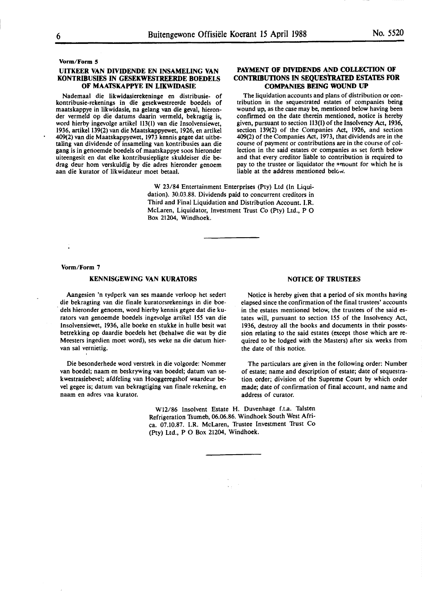#### **Vorm/Form 5**

#### **UITKEER VAN DIVIDENDE EN INSAMELING VAN KONTRIBUSIES IN GESEKWESTREERDE BOEDELS OF MAATSKAPPYE IN LIKWIDASIE**

Nademaal die likwidasierekeninge en distribusie- of kontribusie-rekenings in die gesekwestreerde boedels of maatskappye in likwidasie, na gelang van die geval, hieronder vermeld op die datums daarin vermeld, bekragtig is, word hierby· ingevolge artikel 113(1) van die Insolvensiewet, 1936, artikel 139(2) van die Maatskappyewet, 1926, en artikel 409(2) van die Maatskappyewet, 1973 kennis gegee dat uitbetaling van dividende of insameling van kontribusies aan die gang is in genoemde boedels of maatskappye soos hieronder uiteengesit en dat elke kontribusiepligte skuldeiser die bedrag deur hom verskuldig by die adres hieronder genoem aan die kurator of likwidateur moet betaal.

#### **PAYMENT OF DIVIDENDS AND COLLECTION OF CONTRIBUTIONS** IN **SEQUESTRATED ESTATES FOR COMPANIES BEING WOUND UP**

The liquidation accounts and plans of distribution or con- tribution in the sequestrated estates of companies being wound up, as the case may be, mentioned below having been confirmed on the date therein mentioned, notice is hereby given, pursuant to section 113(1) of the Insolvency Act, 1936, section 139(2) of the Companies Act, 1926, and section 409(2) of the Companies Act, 1973, that dividends are in the course of payment or contributions are in the course of collection in the said estates or companies as set forth below and that every creditor liable to contribution is required to pay to the trustee or liquidator the <sup>a</sup>mount for which he is liable at the address mentioned below.

**W** 23/84 Entertainment Enterprises (Pty) Ltd (In Liquidation). 30.03.88. Dividends paid to concurrent creditors in Third and Final Liquidation and Distribution Account. **I.R.**  McLaren, Liquidator, Investment Trust Co (Pty) Ltd., P 0 Box 21204, Windhoek.

**Vorm/Form** 7

#### **KENNISGEWING VAN KURAIDRS**

Aangesien 'n tydperk van ses maande verloop het sedert die bekragting van die finale kuratorsrekenings in die boe- . dels hieronder genoem, word hierby kennis gegee dat die kurators van genoemde boedels ingevolge artikel 155 van die lnsolvensiewet, 1936, alle boeke en stukke in hulle besit wat betrekking op daardie boedels het (behalwe die wat by die Meesters ingedien moet word), ses weke na die datum hiervan sal vernietig.

Die besonderhede word verstrek in die volgorde: Nommer van boedel; naam en beskrywing van boedel; datum van sekwestrasiebevel; afdfeling van Hooggeregshof waardeur bevel **gegee** is; datum van bekragtiging van finale rekening, en naam en adres vna kurator.

address of curator. Wl2/86 Insolvent Estate H. Duvenhage f.t.a. Talsten Refrigeration Tsumeb, 06.06.86. Windhoek South West Africa. 07.10.87. I.R. McLaren, Trustee Investment Trust Co

(Pty) Ltd., P O Box 21204, Windhoek.

**NOTICE OF TRUSTEES** 

Notice is hereby given that a period of six months having elapsed since the confirmation of the final trustees' accounts in the estates mentioned below, the trustees of the said estates will, pursuant to section 155 of the Insolvency Act, 1936, destroy all the books and documents in their possession relating to the said estates (except those which are required to be lodged with the Masters) after six weeks from the date of this notice.

The particulars are given in the following order: Number of estate; name and description of estate; date of sequestration order; division of the Supreme Court by which order made; date of confirmation of final account, and name and